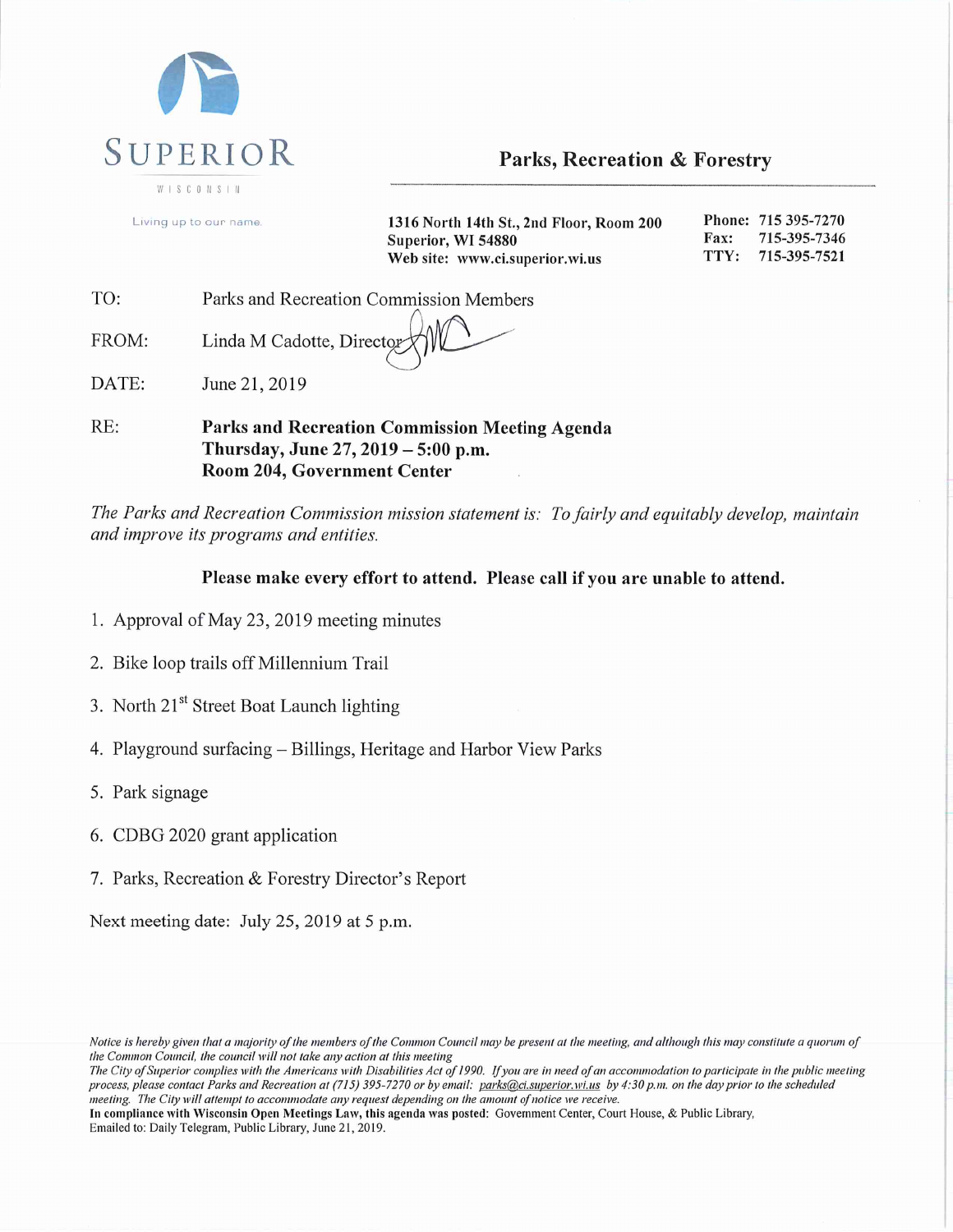

**Parks, Recreation & Forestry** 

Phone: 715 395-7270 Living up to our name 1316 North 14th St., 2nd Floor, Room 200 Superior, WI 54880 Fax: 715-395-7346 TTY: 715-395-7521 Web site: www.ci.superior.wi.us

| TO: |  | Parks and Recreation Commission Members |  |
|-----|--|-----------------------------------------|--|
|     |  |                                         |  |

Linda M Cadotte, Director FROM:

DATE: June 21, 2019

RE: Parks and Recreation Commission Meeting Agenda Thursday, June 27, 2019 - 5:00 p.m. Room 204, Government Center

The Parks and Recreation Commission mission statement is: To fairly and equitably develop, maintain and improve its programs and entities.

# Please make every effort to attend. Please call if you are unable to attend.

- 1. Approval of May 23, 2019 meeting minutes
- 2. Bike loop trails off Millennium Trail
- 3. North 21<sup>st</sup> Street Boat Launch lighting
- 4. Playground surfacing Billings, Heritage and Harbor View Parks
- 5. Park signage
- 6. CDBG 2020 grant application
- 7. Parks, Recreation & Forestry Director's Report

Next meeting date: July 25, 2019 at 5 p.m.

Notice is hereby given that a majority of the members of the Common Council may be present at the meeting, and although this may constitute a quorum of the Common Council, the council will not take any action at this meeting

The City of Superior complies with the Americans with Disabilities Act of 1990. If you are in need of an accommodation to participate in the public meeting process, please contact Parks and Recreation at (715) 395-7270 or by email: parks@ci.superior.wi.us by 4:30 p.m. on the day prior to the scheduled meeting. The City will attempt to accommodate any request depending on the amount of notice we receive.

In compliance with Wisconsin Open Meetings Law, this agenda was posted: Government Center, Court House, & Public Library, Emailed to: Daily Telegram, Public Library, June 21, 2019.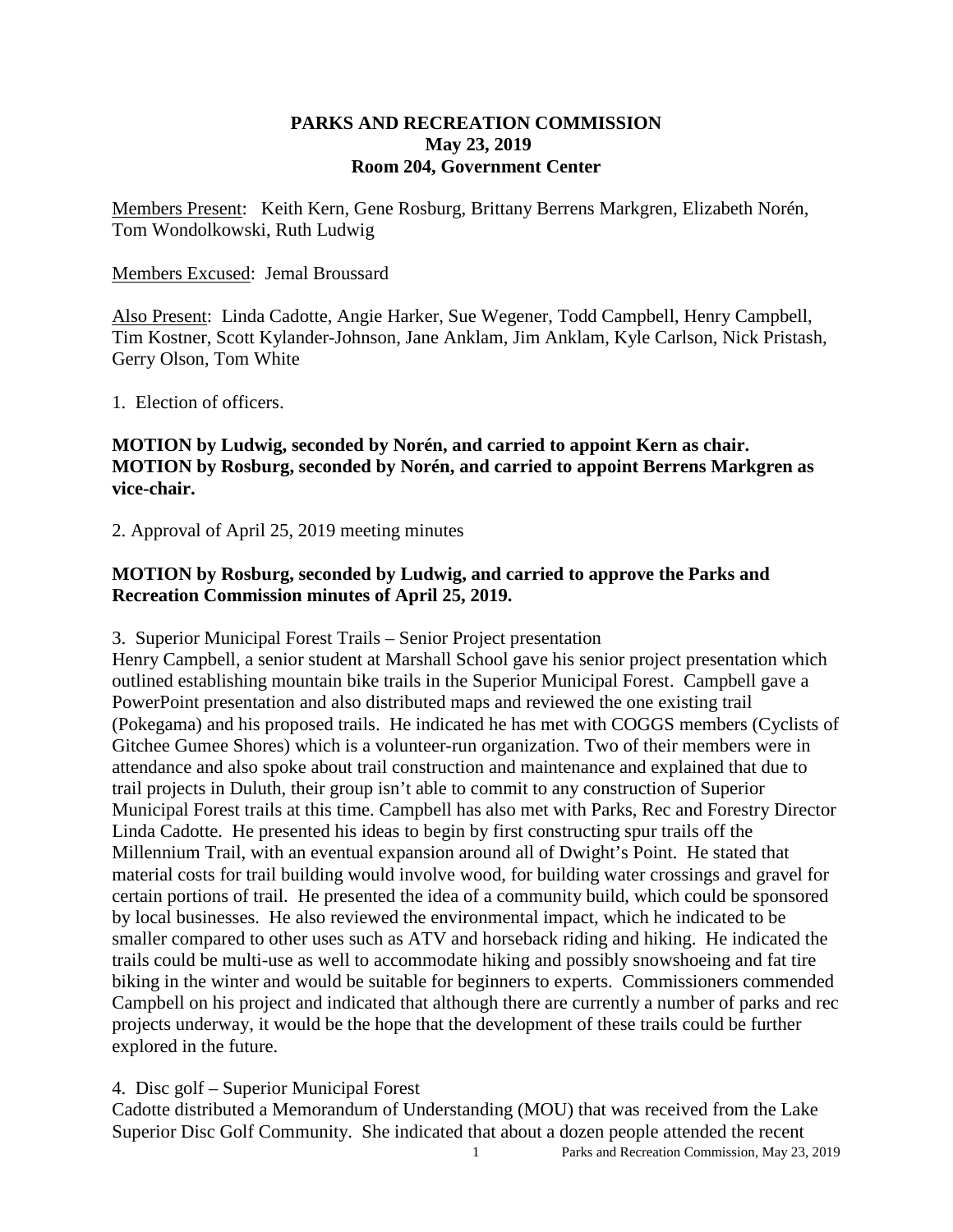### **PARKS AND RECREATION COMMISSION May 23, 2019 Room 204, Government Center**

Members Present: Keith Kern, Gene Rosburg, Brittany Berrens Markgren, Elizabeth Norén, Tom Wondolkowski, Ruth Ludwig

### Members Excused: Jemal Broussard

Also Present: Linda Cadotte, Angie Harker, Sue Wegener, Todd Campbell, Henry Campbell, Tim Kostner, Scott Kylander-Johnson, Jane Anklam, Jim Anklam, Kyle Carlson, Nick Pristash, Gerry Olson, Tom White

1. Election of officers.

# **MOTION by Ludwig, seconded by Norén, and carried to appoint Kern as chair. MOTION by Rosburg, seconded by Norén, and carried to appoint Berrens Markgren as vice-chair.**

2. Approval of April 25, 2019 meeting minutes

# **MOTION by Rosburg, seconded by Ludwig, and carried to approve the Parks and Recreation Commission minutes of April 25, 2019.**

3. Superior Municipal Forest Trails – Senior Project presentation

Henry Campbell, a senior student at Marshall School gave his senior project presentation which outlined establishing mountain bike trails in the Superior Municipal Forest. Campbell gave a PowerPoint presentation and also distributed maps and reviewed the one existing trail (Pokegama) and his proposed trails. He indicated he has met with COGGS members (Cyclists of Gitchee Gumee Shores) which is a volunteer-run organization. Two of their members were in attendance and also spoke about trail construction and maintenance and explained that due to trail projects in Duluth, their group isn't able to commit to any construction of Superior Municipal Forest trails at this time. Campbell has also met with Parks, Rec and Forestry Director Linda Cadotte. He presented his ideas to begin by first constructing spur trails off the Millennium Trail, with an eventual expansion around all of Dwight's Point. He stated that material costs for trail building would involve wood, for building water crossings and gravel for certain portions of trail. He presented the idea of a community build, which could be sponsored by local businesses. He also reviewed the environmental impact, which he indicated to be smaller compared to other uses such as ATV and horseback riding and hiking. He indicated the trails could be multi-use as well to accommodate hiking and possibly snowshoeing and fat tire biking in the winter and would be suitable for beginners to experts. Commissioners commended Campbell on his project and indicated that although there are currently a number of parks and rec projects underway, it would be the hope that the development of these trails could be further explored in the future.

### 4. Disc golf – Superior Municipal Forest

Cadotte distributed a Memorandum of Understanding (MOU) that was received from the Lake Superior Disc Golf Community. She indicated that about a dozen people attended the recent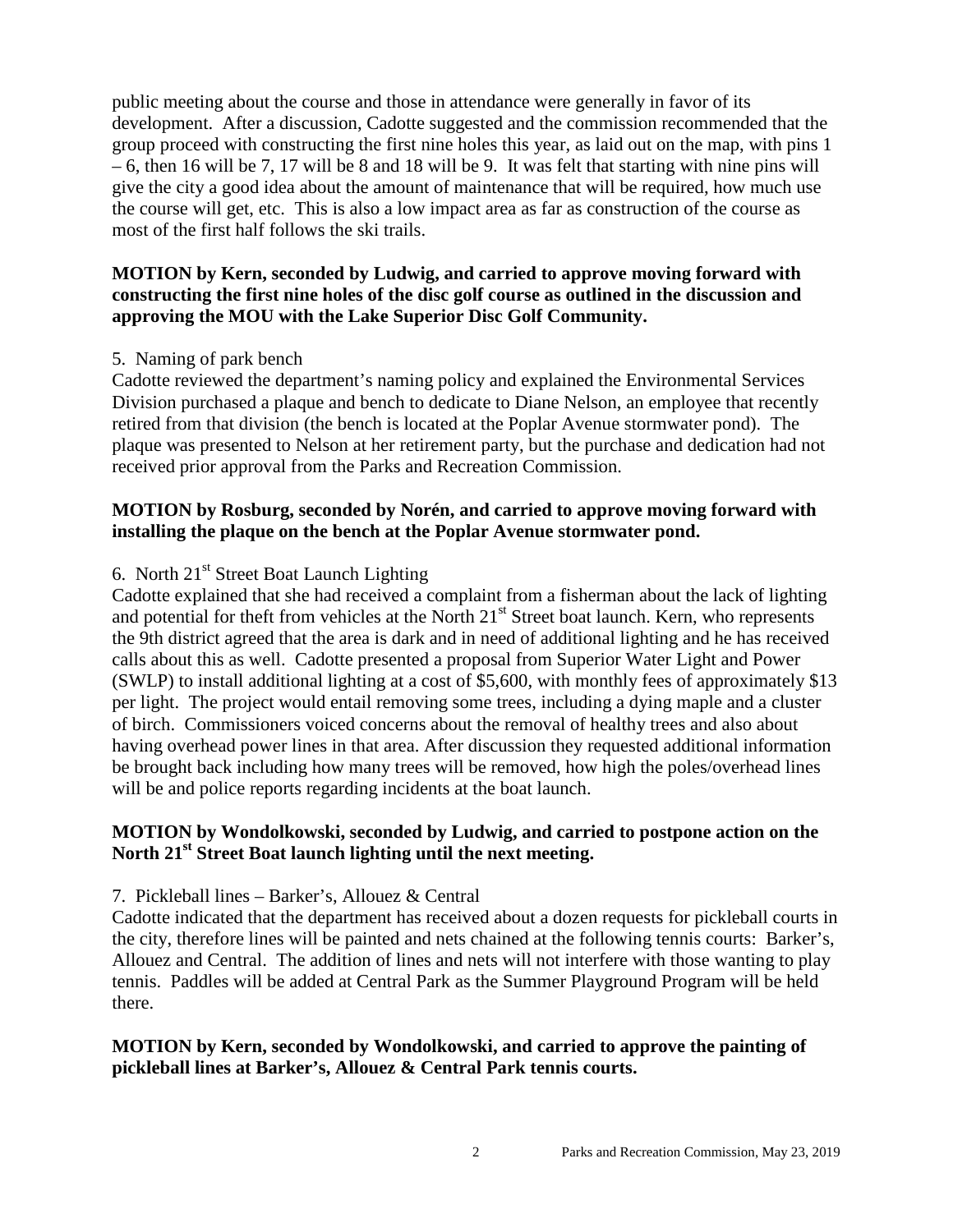public meeting about the course and those in attendance were generally in favor of its development. After a discussion, Cadotte suggested and the commission recommended that the group proceed with constructing the first nine holes this year, as laid out on the map, with pins 1 – 6, then 16 will be 7, 17 will be 8 and 18 will be 9. It was felt that starting with nine pins will give the city a good idea about the amount of maintenance that will be required, how much use the course will get, etc. This is also a low impact area as far as construction of the course as most of the first half follows the ski trails.

# **MOTION by Kern, seconded by Ludwig, and carried to approve moving forward with constructing the first nine holes of the disc golf course as outlined in the discussion and approving the MOU with the Lake Superior Disc Golf Community.**

### 5. Naming of park bench

Cadotte reviewed the department's naming policy and explained the Environmental Services Division purchased a plaque and bench to dedicate to Diane Nelson, an employee that recently retired from that division (the bench is located at the Poplar Avenue stormwater pond). The plaque was presented to Nelson at her retirement party, but the purchase and dedication had not received prior approval from the Parks and Recreation Commission.

# **MOTION by Rosburg, seconded by Norén, and carried to approve moving forward with installing the plaque on the bench at the Poplar Avenue stormwater pond.**

# 6. North  $21<sup>st</sup>$  Street Boat Launch Lighting

Cadotte explained that she had received a complaint from a fisherman about the lack of lighting and potential for theft from vehicles at the North 21<sup>st</sup> Street boat launch. Kern, who represents the 9th district agreed that the area is dark and in need of additional lighting and he has received calls about this as well. Cadotte presented a proposal from Superior Water Light and Power (SWLP) to install additional lighting at a cost of \$5,600, with monthly fees of approximately \$13 per light. The project would entail removing some trees, including a dying maple and a cluster of birch. Commissioners voiced concerns about the removal of healthy trees and also about having overhead power lines in that area. After discussion they requested additional information be brought back including how many trees will be removed, how high the poles/overhead lines will be and police reports regarding incidents at the boat launch.

# **MOTION by Wondolkowski, seconded by Ludwig, and carried to postpone action on the North 21st Street Boat launch lighting until the next meeting.**

### 7. Pickleball lines – Barker's, Allouez & Central

Cadotte indicated that the department has received about a dozen requests for pickleball courts in the city, therefore lines will be painted and nets chained at the following tennis courts: Barker's, Allouez and Central. The addition of lines and nets will not interfere with those wanting to play tennis. Paddles will be added at Central Park as the Summer Playground Program will be held there.

# **MOTION by Kern, seconded by Wondolkowski, and carried to approve the painting of pickleball lines at Barker's, Allouez & Central Park tennis courts.**